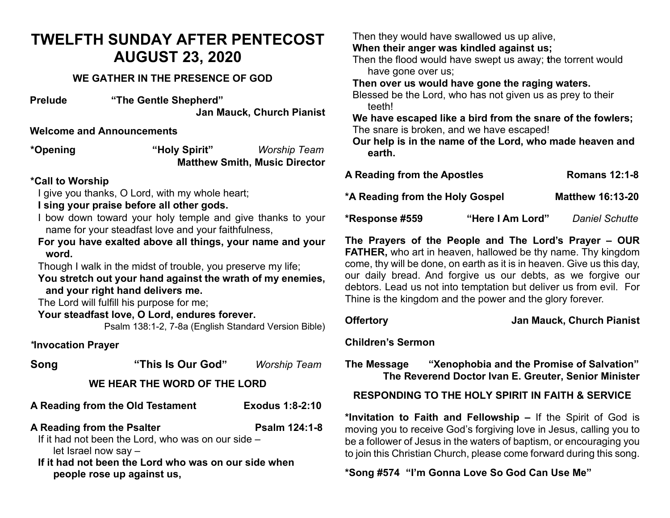## **TWELFTH SUNDAY AFTER PENTECOST AUGUST 23, 2020**

#### **WE GATHER IN THE PRESENCE OF GOD**

**Prelude "The Gentle Shepherd" Jan Mauck, Church Pianist**

#### **Welcome and Announcements**

**\*Opening "Holy Spirit"** *Worship Team* **Matthew Smith, Music Director** 

#### **\*Call to Worship**

I give you thanks, O Lord, with my whole heart;

**I sing your praise before all other gods.**

- I bow down toward your holy temple and give thanks to your name for your steadfast love and your faithfulness,
- **For you have exalted above all things, your name and your word.**

Though I walk in the midst of trouble, you preserve my life;

**You stretch out your hand against the wrath of my enemies, and your right hand delivers me.**

The Lord will fulfill his purpose for me;

#### **Your steadfast love, O Lord, endures forever.**

Psalm 138:1-2, 7-8a (English Standard Version Bible)

#### *\****Invocation Prayer**

| Song                                               | "This Is Our God"                                           | <b>Worship Team</b>    |  |  |
|----------------------------------------------------|-------------------------------------------------------------|------------------------|--|--|
| WE HEAR THE WORD OF THE LORD                       |                                                             |                        |  |  |
|                                                    | A Reading from the Old Testament                            | <b>Exodus 1:8-2:10</b> |  |  |
| A Reading from the Psalter                         |                                                             | Psalm 124:1-8          |  |  |
| If it had not been the Lord, who was on our side - |                                                             |                        |  |  |
| let Israel now say -                               |                                                             |                        |  |  |
|                                                    | If it lead not lease that I and who wear are awn aids where |                        |  |  |

**If it had not been the Lord who was on our side when people rose up against us,**

Then they would have swallowed us up alive,

**When their anger was kindled against us;**

Then the flood would have swept us away; **t**he torrent would have gone over us;

**Then over us would have gone the raging waters.**

Blessed be the Lord, who has not given us as prey to their teeth!

**We have escaped like a bird from the snare of the fowlers;** The snare is broken, and we have escaped!

**Our help is in the name of the Lord, who made heaven and earth.**

| A Reading from the Apostles     |                  | <b>Romans 12:1-8</b>    |
|---------------------------------|------------------|-------------------------|
| *A Reading from the Holy Gospel |                  | <b>Matthew 16:13-20</b> |
| *Response #559                  | "Here I Am Lord" | <b>Daniel Schutte</b>   |

**The Prayers of the People and The Lord's Prayer – OUR FATHER,** who art in heaven, hallowed be thy name. Thy kingdom come, thy will be done, on earth as it is in heaven. Give us this day, our daily bread. And forgive us our debts, as we forgive our debtors. Lead us not into temptation but deliver us from evil. For Thine is the kingdom and the power and the glory forever.

#### **Offertory Jan Mauck, Church Pianist**

#### **Children's Sermon**

**The Message "Xenophobia and the Promise of Salvation" The Reverend Doctor Ivan E. Greuter, Senior Minister**

### **RESPONDING TO THE HOLY SPIRIT IN FAITH & SERVICE**

**\*Invitation to Faith and Fellowship –** If the Spirit of God is moving you to receive God's forgiving love in Jesus, calling you to be a follower of Jesus in the waters of baptism, or encouraging you to join this Christian Church, please come forward during this song.

**\*Song #574 "I'm Gonna Love So God Can Use Me"**